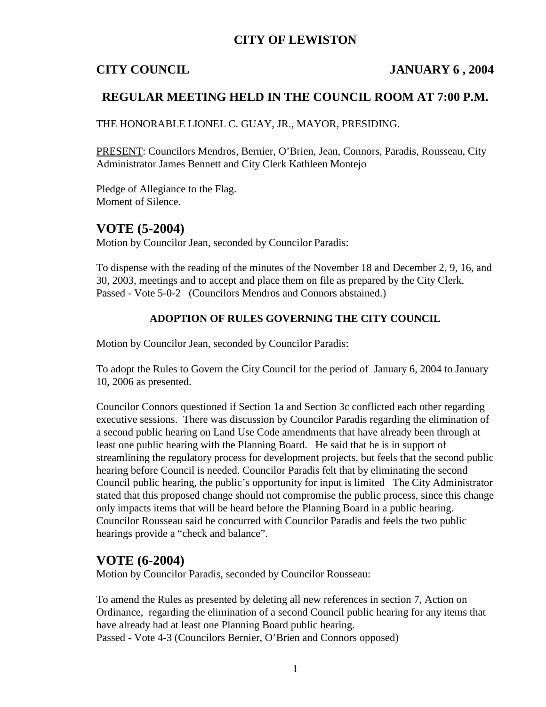# **CITY OF LEWISTON**

**CITY COUNCIL JANUARY 6 , 2004**

# **REGULAR MEETING HELD IN THE COUNCIL ROOM AT 7:00 P.M.**

THE HONORABLE LIONEL C. GUAY, JR., MAYOR, PRESIDING.

PRESENT: Councilors Mendros, Bernier, O'Brien, Jean, Connors, Paradis, Rousseau, City Administrator James Bennett and City Clerk Kathleen Montejo

Pledge of Allegiance to the Flag. Moment of Silence.

# **VOTE (5-2004)**

Motion by Councilor Jean, seconded by Councilor Paradis:

To dispense with the reading of the minutes of the November 18 and December 2, 9, 16, and 30, 2003, meetings and to accept and place them on file as prepared by the City Clerk. Passed - Vote 5-0-2 (Councilors Mendros and Connors abstained.)

## **ADOPTION OF RULES GOVERNING THE CITY COUNCIL**

Motion by Councilor Jean, seconded by Councilor Paradis:

To adopt the Rules to Govern the City Council for the period of January 6, 2004 to January 10, 2006 as presented.

Councilor Connors questioned if Section 1a and Section 3c conflicted each other regarding executive sessions. There was discussion by Councilor Paradis regarding the elimination of a second public hearing on Land Use Code amendments that have already been through at least one public hearing with the Planning Board. He said that he is in support of streamlining the regulatory process for development projects, but feels that the second public hearing before Council is needed. Councilor Paradis felt that by eliminating the second Council public hearing, the public's opportunity for input is limited The City Administrator stated that this proposed change should not compromise the public process, since this change only impacts items that will be heard before the Planning Board in a public hearing. Councilor Rousseau said he concurred with Councilor Paradis and feels the two public hearings provide a "check and balance".

# **VOTE (6-2004)**

Motion by Councilor Paradis, seconded by Councilor Rousseau:

To amend the Rules as presented by deleting all new references in section 7, Action on Ordinance, regarding the elimination of a second Council public hearing for any items that have already had at least one Planning Board public hearing. Passed - Vote 4-3 (Councilors Bernier, O'Brien and Connors opposed)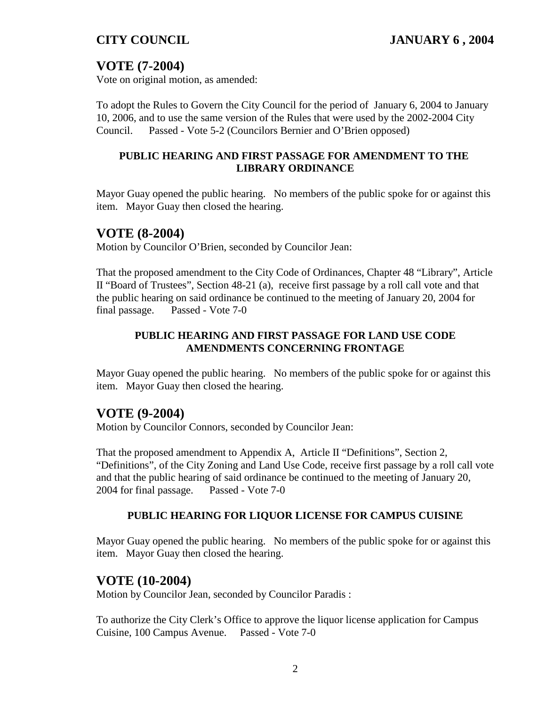# **VOTE (7-2004)**

Vote on original motion, as amended:

To adopt the Rules to Govern the City Council for the period of January 6, 2004 to January 10, 2006, and to use the same version of the Rules that were used by the 2002-2004 City Council. Passed - Vote 5-2 (Councilors Bernier and O'Brien opposed)

### **PUBLIC HEARING AND FIRST PASSAGE FOR AMENDMENT TO THE LIBRARY ORDINANCE**

Mayor Guay opened the public hearing. No members of the public spoke for or against this item. Mayor Guay then closed the hearing.

# **VOTE (8-2004)**

Motion by Councilor O'Brien, seconded by Councilor Jean:

That the proposed amendment to the City Code of Ordinances, Chapter 48 "Library", Article II "Board of Trustees", Section 48-21 (a), receive first passage by a roll call vote and that the public hearing on said ordinance be continued to the meeting of January 20, 2004 for final passage. Passed - Vote 7-0

## **PUBLIC HEARING AND FIRST PASSAGE FOR LAND USE CODE AMENDMENTS CONCERNING FRONTAGE**

Mayor Guay opened the public hearing. No members of the public spoke for or against this item. Mayor Guay then closed the hearing.

# **VOTE (9-2004)**

Motion by Councilor Connors, seconded by Councilor Jean:

That the proposed amendment to Appendix A, Article II "Definitions", Section 2, "Definitions", of the City Zoning and Land Use Code, receive first passage by a roll call vote and that the public hearing of said ordinance be continued to the meeting of January 20, 2004 for final passage. Passed - Vote 7-0

# **PUBLIC HEARING FOR LIQUOR LICENSE FOR CAMPUS CUISINE**

Mayor Guay opened the public hearing. No members of the public spoke for or against this item. Mayor Guay then closed the hearing.

# **VOTE (10-2004)**

Motion by Councilor Jean, seconded by Councilor Paradis :

To authorize the City Clerk's Office to approve the liquor license application for Campus Cuisine, 100 Campus Avenue. Passed - Vote 7-0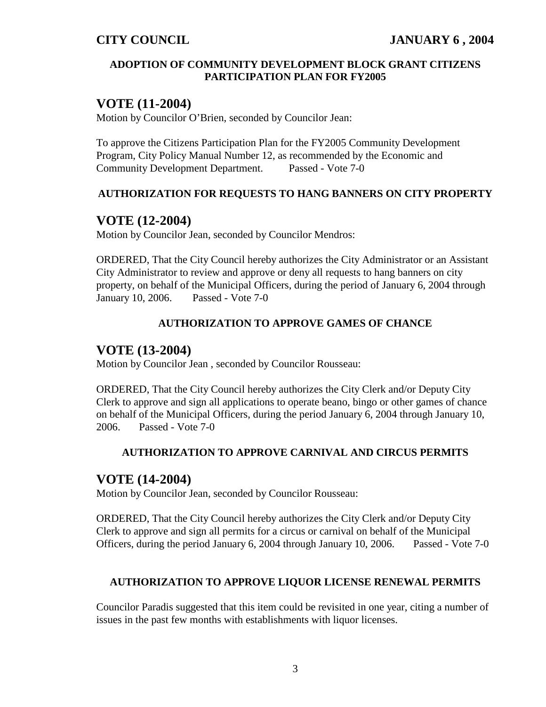### **ADOPTION OF COMMUNITY DEVELOPMENT BLOCK GRANT CITIZENS PARTICIPATION PLAN FOR FY2005**

# **VOTE (11-2004)**

Motion by Councilor O'Brien, seconded by Councilor Jean:

To approve the Citizens Participation Plan for the FY2005 Community Development Program, City Policy Manual Number 12, as recommended by the Economic and Community Development Department. Passed - Vote 7-0

### **AUTHORIZATION FOR REQUESTS TO HANG BANNERS ON CITY PROPERTY**

# **VOTE (12-2004)**

Motion by Councilor Jean, seconded by Councilor Mendros:

ORDERED, That the City Council hereby authorizes the City Administrator or an Assistant City Administrator to review and approve or deny all requests to hang banners on city property, on behalf of the Municipal Officers, during the period of January 6, 2004 through January 10, 2006. Passed - Vote 7-0

### **AUTHORIZATION TO APPROVE GAMES OF CHANCE**

# **VOTE (13-2004)**

Motion by Councilor Jean , seconded by Councilor Rousseau:

ORDERED, That the City Council hereby authorizes the City Clerk and/or Deputy City Clerk to approve and sign all applications to operate beano, bingo or other games of chance on behalf of the Municipal Officers, during the period January 6, 2004 through January 10, 2006. Passed - Vote 7-0

### **AUTHORIZATION TO APPROVE CARNIVAL AND CIRCUS PERMITS**

# **VOTE (14-2004)**

Motion by Councilor Jean, seconded by Councilor Rousseau:

ORDERED, That the City Council hereby authorizes the City Clerk and/or Deputy City Clerk to approve and sign all permits for a circus or carnival on behalf of the Municipal Officers, during the period January 6, 2004 through January 10, 2006. Passed - Vote 7-0

### **AUTHORIZATION TO APPROVE LIQUOR LICENSE RENEWAL PERMITS**

Councilor Paradis suggested that this item could be revisited in one year, citing a number of issues in the past few months with establishments with liquor licenses.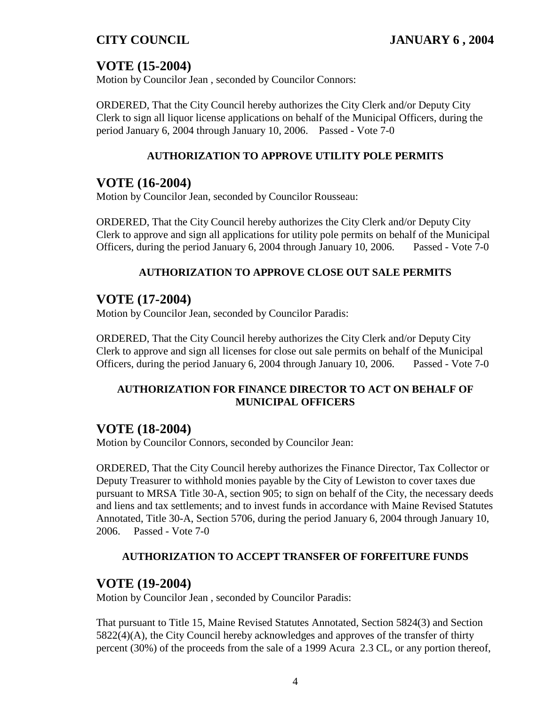# **VOTE (15-2004)**

Motion by Councilor Jean , seconded by Councilor Connors:

ORDERED, That the City Council hereby authorizes the City Clerk and/or Deputy City Clerk to sign all liquor license applications on behalf of the Municipal Officers, during the period January 6, 2004 through January 10, 2006. Passed - Vote 7-0

# **AUTHORIZATION TO APPROVE UTILITY POLE PERMITS**

# **VOTE (16-2004)**

Motion by Councilor Jean, seconded by Councilor Rousseau:

ORDERED, That the City Council hereby authorizes the City Clerk and/or Deputy City Clerk to approve and sign all applications for utility pole permits on behalf of the Municipal Officers, during the period January 6, 2004 through January 10, 2006. Passed - Vote 7-0

# **AUTHORIZATION TO APPROVE CLOSE OUT SALE PERMITS**

# **VOTE (17-2004)**

Motion by Councilor Jean, seconded by Councilor Paradis:

ORDERED, That the City Council hereby authorizes the City Clerk and/or Deputy City Clerk to approve and sign all licenses for close out sale permits on behalf of the Municipal Officers, during the period January 6, 2004 through January 10, 2006. Passed - Vote 7-0

### **AUTHORIZATION FOR FINANCE DIRECTOR TO ACT ON BEHALF OF MUNICIPAL OFFICERS**

# **VOTE (18-2004)**

Motion by Councilor Connors, seconded by Councilor Jean:

ORDERED, That the City Council hereby authorizes the Finance Director, Tax Collector or Deputy Treasurer to withhold monies payable by the City of Lewiston to cover taxes due pursuant to MRSA Title 30-A, section 905; to sign on behalf of the City, the necessary deeds and liens and tax settlements; and to invest funds in accordance with Maine Revised Statutes Annotated, Title 30-A, Section 5706, during the period January 6, 2004 through January 10, 2006. Passed - Vote 7-0

# **AUTHORIZATION TO ACCEPT TRANSFER OF FORFEITURE FUNDS**

# **VOTE (19-2004)**

Motion by Councilor Jean , seconded by Councilor Paradis:

That pursuant to Title 15, Maine Revised Statutes Annotated, Section 5824(3) and Section 5822(4)(A), the City Council hereby acknowledges and approves of the transfer of thirty percent (30%) of the proceeds from the sale of a 1999 Acura 2.3 CL, or any portion thereof,